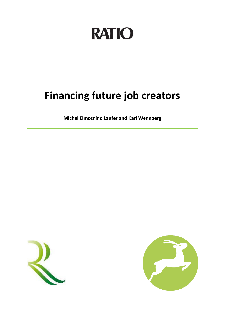# **RATIO**

# **Financing future job creators**

**Michel Elmoznino Laufer and Karl Wennberg**



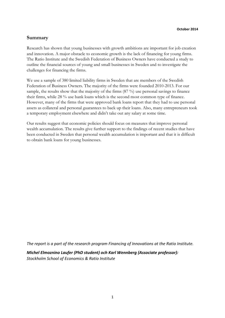# **Summary**

Research has shown that young businesses with growth ambitions are important for job creation and innovation. A major obstacle to economic growth is the lack of financing for young firms. The Ratio Institute and the Swedish Federation of Business Owners have conducted a study to outline the financial sources of young and small businesses in Sweden and to investigate the challenges for financing the firms.

We use a sample of 380 limited liability firms in Sweden that are members of the Swedish Federation of Business Owners. The majority of the firms were founded 2010-2013. For our sample, the results show that the majority of the firms (87 %) use personal savings to finance their firms, while 28 % use bank loans which is the second most common type of finance. However, many of the firms that were approved bank loans report that they had to use personal assets as collateral and personal guarantees to back up their loans. Also, many entrepreneurs took a temporary employment elsewhere and didn't take out any salary at some time.

Our results suggest that economic policies should focus on measures that improve personal wealth accumulation. The results give further support to the findings of recent studies that have been conducted in Sweden that personal wealth accumulation is important and that it is difficult to obtain bank loans for young businesses.

*The report is a part of the research program Financing of Innovations at the Ratio Institute.*

*Michel Elmoznino Laufer (PhD student) och Karl Wennberg (Associate professor): Stockholm School of Economics & Ratio Institute*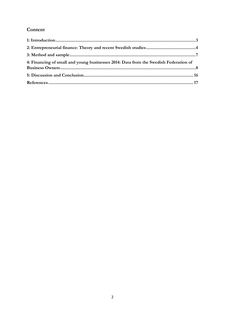# Content

| 4: Financing of small and young businesses 2014: Data from the Swedish Federation of |  |
|--------------------------------------------------------------------------------------|--|
|                                                                                      |  |
|                                                                                      |  |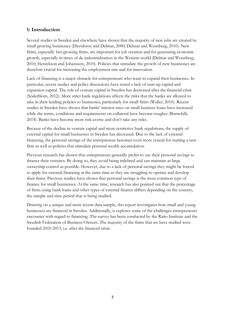# <span id="page-3-0"></span>**1: Introduction**

Several studies in Sweden and elsewhere have shown that the majority of new jobs are created by small growing businesses [\(Davidsson and Delmar, 2000;](#page-17-1) [Delmar and Wennberg, 2010\)](#page-17-2). New firms, especially fast-growing firms, are important for job creation and for generating economic growth, especially in times of de-industrialization in the Western world [\(Delmar and Wennberg,](#page-17-2)  [2010;](#page-17-2) [Henrekson and Johansson, 2010\)](#page-17-3). Policies that stimulate the growth of new businesses are therefore crucial for increasing the employment rate and for innovation.

Lack of financing is a major obstacle for entrepreneurs who want to expand their businesses. In particular, recent studies and policy discussions have noted a lack of start-up capital and expansion capital. The role of venture capital in Sweden has decreased after the financial crisis (Söderblom, 2012). More strict bank regulations affects the risks that the banks are allowed to take in their lending policies to businesses, particularly for small firms [\(Weller, 2010\)](#page-17-4). Recent studies in Sweden have shown that banks' interest rates on small business loans have increased while the terms, conditions and requirements on collateral have become tougher (Bornefalk, 2014). Banks have become more risk-averse and don't take any risks.

Because of the decline in venture capital and more restrictive bank regulations, the supply of external capital for small businesses in Sweden has decreased. Due to the lack of external financing, the personal savings of the entrepreneur becomes even more crucial for starting a new firm as well as policies that stimulate personal wealth accumulation.

Previous research has shown that entrepreneurs generally prefer to use their personal savings to finance their ventures. By doing so, they avoid being indebted and can maintain as large ownership control as possible. However, due to a lack of personal savings they might be forced to apply for external financing at the same time as they are struggling to operate and develop their firms. Previous studies have shown that personal savings is the most common type of finance for small businesses. At the same time, research has also pointed out that the percentage of firms using bank loans and other types of external finance differs depending on the country, the sample and time period that is being studied.

Drawing on a unique and more recent data sample, this report investigates how small and young businesses are financed in Sweden. Additionally, it explores some of the challenges entrepreneurs encounter with regard to financing. The survey has been conducted by the Ratio Institute and the Swedish Federation of Business Owners. The majority of the firms that we have studied were founded 2010-2013, i.e. after the financial crisis.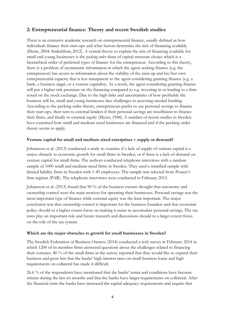# <span id="page-4-0"></span>**2: Entrepreneurial finance: Theory and recent Swedish studies**

There is an extensive academic research on entrepreneurial finance, usually defined as how individuals finance their start-ups and what factors determine the mix of financing available (Denis, 2004; Söderblom, 2012). A central theory to explain the mix of financing available for small and young businesses is the *pecking order theory* of capital structure choice which is a hierarchical order of preferred types of finance for the entrepreneur. According to this theory, there is a problem of asymmetric information in which the agent seeking finance (e.g. the entrepreneur) has access to information about the viability of the start-up and his/her own entrepreneurial capacity that is less transparent to the agent considering granting finance (e.g. a bank, a business angel, or a venture capitalist). As a result, the agent considering granting finance will put a higher risk premium on the financing compared to e.g. investing in or lending to a firm noted on the stock exchange. Due to the high risks and uncertainties of how profitable the business will be, small and young businesses face challenges in accessing needed funding. According to the pecking order theory, entrepreneurs prefer to use personal savings to finance their start-ups, then turn to external lenders if their personal savings are insufficient to finance their firms, and finally to external equity (Myers, 1984). A number of recent studies in Sweden have examined how small and medium sized businesses are financed and if the pecking order theory seems to apply.

#### **Venture capital for small and medium sized enterprises – supply or demand?**

Johansson et al. (2013) conducted a study to examine if a lack of supply of venture capital is a major obstacle to economic growth for small firms in Sweden, or if there is a lack of demand on venture capital for small firms. The authors conducted telephone interviews with a random sample of 1000 small and medium-sized firms in Sweden. They used a stratified sample with limited liability firms in Sweden with 1-49 employees. The sample was selected from Posten's firm register (PAR). The telephone interviews were conducted in February 2013.

Johansson et al. (2013) found that 90 % of the business owners thought that autonomy and ownership control were the main motives for operating their businesses. Personal savings was the most important type of finance while external equity was the least important. The major conclusion was that ownership control is important for the business founders and that economic policy should to a higher extent focus on making it easier to accumulate personal savings. The tax rates play an important role and future research and discussions should to a larger extent focus on the role of the tax system.

#### **Which are the major obstacles to growth for small businesses in Sweden?**

The Swedish Federation of Business Owners (2014) conducted a web survey in February 2014 in which 1200 of its member firms answered questions about the challenges related to financing their ventures. 80 % of the small firms in the survey reported that they would like to expand their business and grow but that the banks' high interest rates on small business loans and high requirements on collateral has made it difficult.

26.6 % of the respondents have mentioned that the banks' terms and conditions have become stricter during the last six months and that the banks have larger requirements on collateral. After the financial crisis the banks have increased the capital adequacy requirements and require that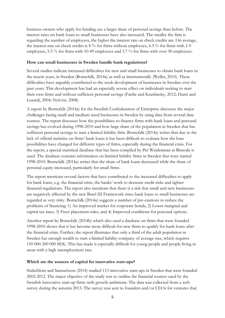business owners who apply for funding use a larger share of personal savings than before. The interest rates on bank loans to small businesses have also increased. The smaller the firm is regarding the number of employees, the higher the interest rate on check credits are. On average, the interest rate on check credits is 8 % for firms without employees, 6.5 % for firms with 1-9 employees, 5.5 % for firms with 10-49 employees and 3.7 % for firms with over 50 employees.

#### **How can small businesses in Sweden handle bank regulations?**

Several studies indicate increased difficulties for new and small businesses to obtain bank loans in the recent years, in Sweden (Bornefalk, 2014a) as well as internationally [\(Weller, 2010\)](#page-17-4). These difficulties have arguably contributed to the weak development of businesses in Sweden over the past years. This development has had an especially severe effect on individuals seeking to start their own firms and without sufficient personal savings [\(Fairlie and Krashinsky, 2012;](#page-17-5) [Hurst and](#page-17-6)  [Lusardi, 2004;](#page-17-6) [Nykvist, 2008\)](#page-17-7).

A report by Bornefalk (2014a) for the Swedish Confederation of Enterprise discusses the major challenges facing small and medium sized businesses in Sweden by using data from several data sources. The report discusses how the possibilities to finance firms with bank loans and personal savings has evolved during 1998-2010 and how large share of the population in Sweden that has sufficient personal savings to start a limited liability firm. Bornefalk (2014a) writes that due to the lack of official statistics on firms' bank loans it has been difficult to evaluate how the loan possibilities have changed for different types of firms, especially during the financial crisis. For the report, a special statistical database that has been compiled by Per Weidenman at Bisnode is used. The database contains information on limitied liability firms in Sweden that were started 1998-2010. Bornefalk (2014a) writes that the share of bank loans decreased while the share of personal equity increased, particularly for small firms.

The report mentions several factors that have contributed to the increased difficulties to apply for bank loans, e.g. the financial crisis, the banks' work to decrease credit risks and tighter financial regulations. The report also mentions that there is a risk that small and new businesses are negatively affected by the new Basel III Framework since bank loans to small businesses are regarded as very risky. Bornefalk (2014a) suggests a number of pre-cautions to reduce the problems of financing: 1) An improved market for corporate bonds, 2) Lower marginal and capital tax rates, 3) Freer placement rules, and 4) Improved conditions for personal options.

Another report by Bornefalk (2014b) which also used a database on firms that were founded 1998-2010 shows that it has become more difficult for new firms to qualify for bank loans after the financial crisis. Further, the report illustrates that only a third of the adult population in Sweden has enough wealth to start a limited liability company of average size, which requires 150 000-200 000 SEK. This has made it especially difficult for young people and people living in areas with a high unemployment rate.

# **Which are the sources of capital for innovative start-ups?**

Söderblom and Samuelsson (2014) studied 113 innovative start-ups in Sweden that were founded 2002-2012. The major objective of the study was to outline the financial sources used by the Swedish innovative start-up firms with growth ambitions. The data was collected from a web survey during the autumn 2013. The survey was sent to founders and/or CEOs for ventures that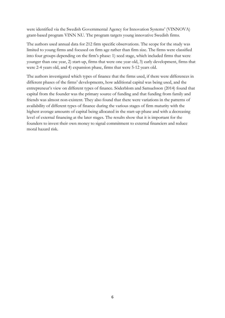were identified via the Swedish Governmental Agency for Innovation Systems' (VINNOVA) grant-based program VINN NU. The program targets young innovative Swedish firms.

The authors used annual data for 212 firm specific observations. The scope for the study was limited to young firms and focused on firm age rather than firm size. The firms were classified into four groups depending on the firm's phase: 1) seed stage, which included firms that were younger than one year, 2) start-up, firms that were one year old, 3) early development, firms that were 2-4 years old, and 4) expansion phase, firms that were 5-12 years old.

The authors investigated which types of finance that the firms used, if there were differences in different phases of the firms' developments, how additional capital was being used, and the entrepreneur's view on different types of finance. Söderblom and Samuelsson (2014) found that capital from the founder was the primary source of funding and that funding from family and friends was almost non-existent. They also found that there were variations in the patterns of availability of different types of finance during the various stages of firm maturity with the highest average amounts of capital being allocated in the start-up phase and with a decreasing level of external financing at the later stages. The results show that it is important for the founders to invest their own money to signal commitment to external financiers and reduce moral hazard risk.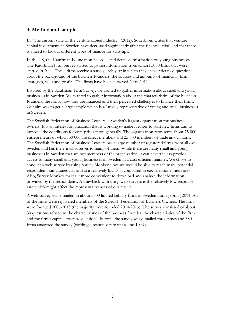# <span id="page-7-0"></span>**3: Method and sample**

In "The current state of the venture capital industry" (2012), Söderblom writes that venture capital investments in Sweden have decreased significantly after the financial crisis and that there is a need to look at different types of finance for start-ups.

In the US, the Kauffman Foundation has collected detailed information on young businesses. The Kauffman Firm Survey started to gather information from almost 5000 firms that were started in 2004. These firms receive a survey each year in which they answer detailed questions about the background of the business founders, the sources and amounts of financing, firm strategies, sales and profits. The firms have been surveyed 2004-2011.

Inspired by the Kauffman Firm Survey, we wanted to gather information about small and young businesses in Sweden. We wanted to gather information about the characteristics of the business founders, the firms, how they are financed and their perceived challenges to finance their firms. Our aim was to get a large sample which is relatively representative of young and small businesses in Sweden.

The Swedish Federation of Business Owners is Sweden's largest organization for business owners. It is an interest organization that is working to make it easier to start new firms and to improve the conditions for enterprises more generally. The organization represents about 75 000 entrepreneurs of which 50 000 are direct members and 25 000 members of trade associations. The Swedish Federation of Business Owners has a large number of registered firms from all over Sweden and has the e-mail adresses to many of them. While there are many small and young businesses in Sweden that are not members of the organization, it can nevertheless provide access to many small and young businesses in Sweden in a cost efficient manner. We chose to conduct a web survey by using Survey Monkey since we would be able to reach many potential respondents simultaneously and at a relatively low cost compared to e.g. telephone interviews. Also, Survey Monkey makes it more convenient to download and analyze the information provided by the respondents. A drawback with using web surveys is the relatively low response rate which might affect the representativeness of our results.

A web survey was e-mailed to about 3800 limited liability firms in Sweden during spring 2014. All of the firms were registered members of the Swedish Federation of Business Owners. The firms were founded 2006-2013 (the majority were founded 2010-2013). The survey consisted of about 30 questions related to the characteristics of the business founder, the characteristics of the firm and the firm's capital structure decisions. In total, the survey was e-mailed three times and 380 firms answered the survey (yielding a response rate of around 10 %).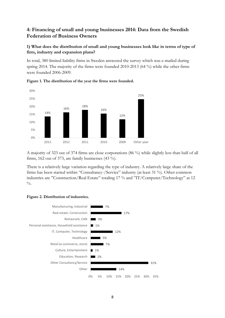# <span id="page-8-0"></span>**4: Financing of small and young businesses 2014: Data from the Swedish Federation of Business Owners**

# **1) What does the distribution of small and young businesses look like in terms of type of firm, industry and expansion plans?**

In total, 380 limited liability firms in Sweden answered the survey which was e-mailed during spring 2014. The majority of the firms were founded 2010-2013 (64 %) while the other firms were founded 2006-2009.





A majority of 323 out of 374 firms are close corporations (86 %) while slightly less than half of all firms, 162 out of 373, are family businesses (43 %).

There is a relatively large variation regarding the type of industry. A relatively large share of the firms has been started within "Consultancy-/Service" industry (at least 31 %). Other common industries are "Construction/Real Estate" totaling 17 % and "IT/Computer/Technology" at 12  $\frac{0}{0}$ 

#### **Figure 2. Distribution of industries.**

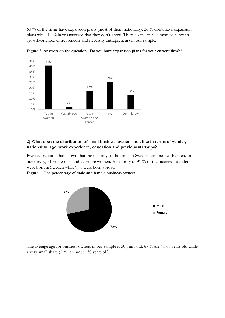60 % of the firms have expansion plans (most of them nationally), 26 % don't have expansion plans while 14 % have answered that they don't know. There seems to be a mixture between growth-oriented entrepreneurs and necessity entrepreneurs in our sample.



**Figure 3. Answers on the question "Do you have expansion plans for your current firm?"**

#### **2) What does the distribution of small business owners look like in terms of gender, nationality, age, work experience, education and previous start-ups?**

Previous research has shown that the majority of the firms in Sweden are founded by men. In our survey, 71 % are men and 29 % are women. A majority of 91 % of the business founders were born in Sweden while 9 % were born abroad.

**Figure 4. The percentage of male and female business owners.** 



The average age for business owners in our sample is 50 years old. 67 % are 41-60 years old while a very small share (3 %) are under 30 years old.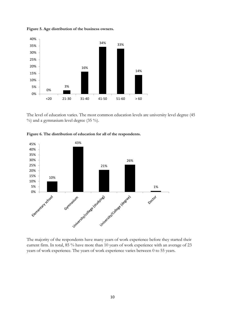

**Figure 5. Age distribution of the business owners.** 

The level of education varies. The most common education levels are university level degree (45  $\%$ ) and a gymnasium level degree (35 %).



**Figure 6. The distribution of education for all of the respondents.** 

The majority of the respondents have many years of work experience before they started their current firm. In total, 85 % have more than 10 years of work experience with an average of 23 years of work experience. The years of work experience varies between 0 to 55 years.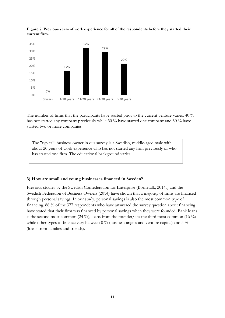



The number of firms that the participants have started prior to the current venture varies. 40 % has not started any company previously while 30 % have started one company and 30 % have started two or more companies.

The "typical" business owner in our survey is a Swedish, middle-aged male with about 20 years of work experience who has not started any firm previously or who has started one firm. The educational background varies.

#### **3) How are small and young businesses financed in Sweden?**

Previous studies by the Swedish Confederation for Enterprise (Bornefalk, 2014a) and the Swedish Federation of Business Owners (2014) have shown that a majority of firms are financed through personal savings. In our study, personal savings is also the most common type of financing. 86 % of the 377 respondents who have answered the survey question about financing have stated that their firm was financed by personal savings when they were founded. Bank loans is the second most common (24 %), loans from the founder/s is the third most common (16 %) while other types of finance vary between 0 % (business angels and venture capital) and 5 % (loans from families and friends).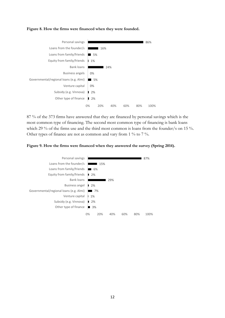



87 % of the 373 firms have answered that they are financed by personal savings which is the most common type of financing. The second most common type of financing is bank loans which 29 % of the firms use and the third most common is loans from the founder/s on 15 %. Other types of finance are not as common and vary from 1 % to 7 %.



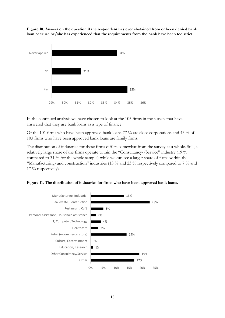**Figure 10. Answer on the question if the respondent has ever abstained from or been denied bank loan because he/she has experienced that the requirements from the bank have been too strict.**



In the continued analysis we have chosen to look at the 105 firms in the survey that have answered that they use bank loans as a type of finance.

Of the 101 firms who have been approved bank loans 77 % are close corporations and 43 % of 103 firms who have been approved bank loans are family firms.

The distribution of industries for these firms differs somewhat from the survey as a whole. Still, a relatively large share of the firms operate within the "Consultancy-/Service" industry (19 % compared to 31 % for the whole sample) while we can see a larger share of firms within the "Manufacturing- and construction" industries (13 % and 23 % respectively compared to 7 % and 17 % respectively).



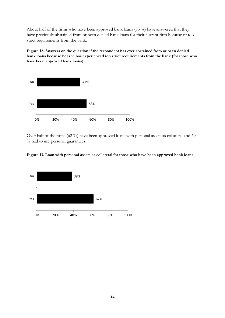About half of the firms who have been approved bank loans (53 %) have answered that they have previously abstained from or been denied bank loans for their current firm because of too strict requirements from the bank.

**Figure 12. Answers on the question if the respondent has ever abstained from or been denied bank loans because he/she has experienced too strict requirements from the bank (for those who have been approved bank loans).**



Over half of the firms (62 %) have been approved loans with personal assets as collateral and 69 % had to use personal guarantees.



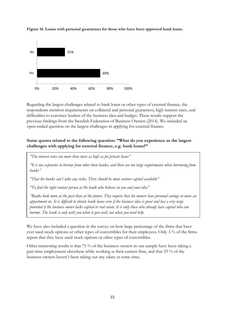

**Figure 14. Loans with personal guarantees for those who have been approved bank loans.**

Regarding the largest challenges related to bank loans or other types of external finance, the respondents mention requirements on collateral and personal guarantess, high interest rates, and difficulties to convince lenders of the business idea and budget. These results support the previous findings from the Swedish Federation of Business Owners (2014). We included an open-ended question on the largest challenges in applying for external finance.

# **Some quotes related to the following question: "What do you experience as the largest challenges with applying for external finance, e.g. bank loans?"**

*"The interest rates are more than twice as high as for private loans"*

*"It is too expensive to borrow from other than banks, and there are too large requirements when borrowing from banks"*

*"That the banks can't take any risks. There should be more venture capital available"*

*"To find the right contact person at the bank who believes in you and your idea"*

*"Banks look more at the past than at the future. They require that the owners have personal savings or owns an appartment etc. It is difficult to obtain bank loans even if the business idea is great and has a very large potential if the business owner lacks capital or real estate. It is only those who already have capital who can borrow. The bank is only with you when it goes well, not when you need help.* 

We have also included a question in the survey on how large percentage of the firms that have ever used stock options or other types of convertibles for their employees. Only 3 % of the firms report that they have used stock options or other types of convertibles.

Other interesting results is that 75 % of the business owners in our sample have been taking a part-time employment elsewhere while working at their current firm, and that 25 % of the business owners haven't been taking out any salary at some time.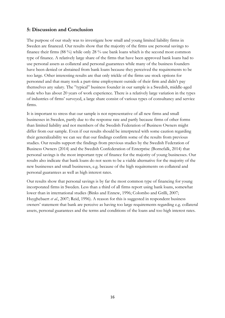# <span id="page-16-0"></span>**5: Discussion and Conclusion**

The purpose of our study was to investigate how small and young limited liability firms in Sweden are financed. Our results show that the majority of the firms use personal savings to finance their firms (88 %) while only 28 % use bank loans which is the second most common type of finance. A relatively large share of the firms that have been approved bank loans had to use personal assets as collateral and personal guarantees while many of the business founders have been denied or abstained from bank loans because they perceived the requirements to be too large. Other interesting results are that only trickle of the firms use stock options for personnel and that many took a part-time employment outside of their firm and didn't pay themselves any salary. The "typical" business founder in our sample is a Swedish, middle-aged male who has about 20 years of work experience. There is a relatively large variation in the types of industries of firms' surveyed, a large share consist of various types of consultancy and service firms.

It is important to stress that our sample is not representative of all new firms and small businesses in Sweden, partly due to the response rate and partly because firms of other forms than limited liability and not members of the Swedish Federation of Business Owners might differ from our sample. Even if our results should be interpreted with some caution regarding their generalizability we can see that our findings confirm some of the results from previous studies. Our results support the findings from previous studies by the Swedish Federation of Business Owners (2014) and the Swedish Confederation of Enterprise (Bornefalk, 2014) that personal savings is the most important type of finance for the majority of young businesses. Our results also indicate that bank loans do not seem to be a viable alternative for the majority of the new businesses and small businesses, e.g. because of the high requirements on collateral and personal guarantees as well as high interest rates.

Our results show that personal savings is by far the most common type of financing for young incorporated firms in Sweden. Less than a third of all firms report using bank loans, somewhat lower than in international studies [\(Binks and Ennew, 1996;](#page-17-8) [Colombo and Grilli, 2007;](#page-17-9) [Huyghebaert](#page-17-10) *et al.*, 2007; [Reid, 1996\)](#page-17-11). A reason for this is suggested in respondent business owners' statement that bank are perceive as having too large requirements regarding e.g. collateral assets, personal guarantees and the terms and conditions of the loans and too high interest rates.